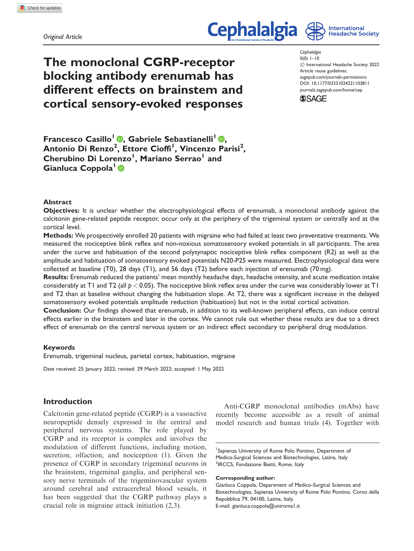Original Article

# **Cephalalgia**



The monoclonal CGRP-receptor blocking antibody erenumab has different effects on brainstem and cortical sensory-evoked responses Cephalalgia  $0(0)$  1–10 ! International Headache Society 2022 Article reuse guidelines: [sagepub.com/journals-permissions](http://uk.sagepub.com/en-gb/journals-permissions) [DOI: 10.1177/03331024221103811](http://dx.doi.org/10.1177/03331024221103811) <journals.sagepub.com/home/cep>



Francesco Casillo<sup>1</sup> (D, Gabriele Sebastianelli<sup>1</sup> (D, Antonio Di Renzo<sup>2</sup>, Ettore Cioffi<sup>I</sup>, Vincenzo Parisi<sup>2</sup>, Cherubino Di Lorenzo<sup>l</sup>, Mariano Serrao<sup>l</sup> and Gianluca Coppola<sup>1</sup>

## Abstract

Objectives: It is unclear whether the electrophysiological effects of erenumab, a monoclonal antibody against the calcitonin gene-related peptide receptor, occur only at the periphery of the trigeminal system or centrally and at the cortical level.

Methods: We prospectively enrolled 20 patients with migraine who had failed at least two preventative treatments. We measured the nociceptive blink reflex and non-noxious somatosensory evoked potentials in all participants. The area under the curve and habituation of the second polysynaptic nociceptive blink reflex component (R2) as well as the amplitude and habituation of somatosensory evoked potentials N20-P25 were measured. Electrophysiological data were collected at baseline (T0), 28 days (T1), and 56 days (T2) before each injection of erenumab (70 mg).

Results: Erenumab reduced the patients' mean monthly headache days, headache intensity, and acute medication intake considerably at T1 and T2 (all  $p < 0.05$ ). The nociceptive blink reflex area under the curve was considerably lower at T1 and T2 than at baseline without changing the habituation slope. At T2, there was a significant increase in the delayed somatosensory evoked potentials amplitude reduction (habituation) but not in the initial cortical activation.

Conclusion: Our findings showed that erenumab, in addition to its well-known peripheral effects, can induce central effects earlier in the brainstem and later in the cortex. We cannot rule out whether these results are due to a direct effect of erenumab on the central nervous system or an indirect effect secondary to peripheral drug modulation.

#### Keywords

Erenumab, trigeminal nucleus, parietal cortex, habituation, migraine

Date received: 25 January 2022; revised: 29 March 2022; accepted: 1 May 2022

## Introduction

Calcitonin gene-related peptide (CGRP) is a vasoactive neuropeptide densely expressed in the central and peripheral nervous systems. The role played by CGRP and its receptor is complex and involves the modulation of different functions, including motion, secretion, olfaction, and nociception (1). Given the presence of CGRP in secondary trigeminal neurons in the brainstem, trigeminal ganglia, and peripheral sensory nerve terminals of the trigeminovascular system around cerebral and extracerebral blood vessels, it has been suggested that the CGRP pathway plays a crucial role in migraine attack initiation (2,3).

Anti-CGRP monoclonal antibodies (mAbs) have recently become accessible as a result of animal model research and human trials (4). Together with

#### Corresponding author:

Gianluca Coppola, Department of Medico-Surgical Sciences and Biotechnologies, Sapienza University of Rome Polo Pontino, Corso della Repubblica 79, 04100, Latina, Italy. E-mail: [gianluca.coppola@uniroma1.it](mailto:gianluca.coppola@uniroma1.it)

<sup>&</sup>lt;sup>1</sup>Sapienza University of Rome Polo Pontino, Department of Medico-Surgical Sciences and Biotechnologies, Latina, Italy <sup>2</sup>IRCCS, Fondazione Bietti, Rome, Italy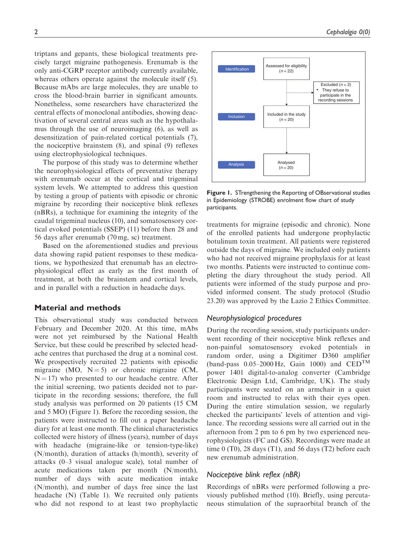triptans and gepants, these biological treatments precisely target migraine pathogenesis. Erenumab is the only anti-CGRP receptor antibody currently available, whereas others operate against the molecule itself (5). Because mAbs are large molecules, they are unable to cross the blood-brain barrier in significant amounts. Nonetheless, some researchers have characterized the central effects of monoclonal antibodies, showing deactivation of several central areas such as the hypothalamus through the use of neuroimaging (6), as well as desensitization of pain-related cortical potentials (7), the nociceptive brainstem (8), and spinal (9) reflexes using electrophysiological techniques.

The purpose of this study was to determine whether the neurophysiological effects of preventative therapy with erenumab occur at the cortical and trigeminal system levels. We attempted to address this question by testing a group of patients with episodic or chronic migraine by recording their nociceptive blink reflexes (nBRs), a technique for examining the integrity of the caudal trigeminal nucleus (10), and somatosensory cortical evoked potentials (SSEP) (11) before then 28 and 56 days after erenumab (70 mg, sc) treatment.

Based on the aforementioned studies and previous data showing rapid patient responses to these medications, we hypothesized that erenumab has an electrophysiological effect as early as the first month of treatment, at both the brainstem and cortical levels, and in parallel with a reduction in headache days.

#### Material and methods

This observational study was conducted between February and December 2020. At this time, mAbs were not yet reimbursed by the National Health Service, but these could be prescribed by selected headache centres that purchased the drug at a nominal cost. We prospectively recruited 22 patients with episodic migraine (MO,  $N = 5$ ) or chronic migraine (CM,  $N = 17$ ) who presented to our headache centre. After the initial screening, two patients decided not to participate in the recording sessions; therefore, the full study analysis was performed on 20 patients (15 CM and 5 MO) (Figure 1). Before the recording session, the patients were instructed to fill out a paper headache diary for at least one month. The clinical characteristics collected were history of illness (years), number of days with headache (migraine-like or tension-type-like) (N/month), duration of attacks (h/month), severity of attacks (0–3 visual analogue scale), total number of acute medications taken per month (N/month), number of days with acute medication intake (N/month), and number of days free since the last headache (N) (Table 1). We recruited only patients who did not respond to at least two prophylactic



Figure 1. STrengthening the Reporting of OBservational studies in Epidemiology (STROBE) enrolment flow chart of study participants.

treatments for migraine (episodic and chronic). None of the enrolled patients had undergone prophylactic botulinum toxin treatment. All patients were registered outside the days of migraine. We included only patients who had not received migraine prophylaxis for at least two months. Patients were instructed to continue completing the diary throughout the study period. All patients were informed of the study purpose and provided informed consent. The study protocol (Studio 23.20) was approved by the Lazio 2 Ethics Committee.

## Neurophysiological procedures

During the recording session, study participants underwent recording of their nociceptive blink reflexes and non-painful somatosensory evoked potentials in random order, using a Digitimer D360 amplifier (band-pass  $0.05-2000$  Hz, Gain 1000) and CED<sup>TM</sup> power 1401 digital-to-analog converter (Cambridge Electronic Design Ltd, Cambridge, UK). The study participants were seated on an armchair in a quiet room and instructed to relax with their eyes open. During the entire stimulation session, we regularly checked the participants' levels of attention and vigilance. The recording sessions were all carried out in the afternoon from 2 pm to 6 pm by two experienced neurophysiologists (FC and GS). Recordings were made at time  $0$  (T0), 28 days (T1), and 56 days (T2) before each new erenumab administration.

## Nociceptive blink reflex (nBR)

Recordings of nBRs were performed following a previously published method (10). Briefly, using percutaneous stimulation of the supraorbital branch of the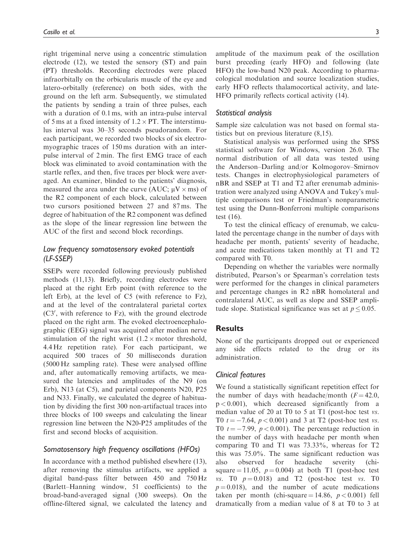right trigeminal nerve using a concentric stimulation electrode (12), we tested the sensory (ST) and pain (PT) thresholds. Recording electrodes were placed infraorbitally on the orbicularis muscle of the eye and latero-orbitally (reference) on both sides, with the ground on the left arm. Subsequently, we stimulated the patients by sending a train of three pulses, each with a duration of 0.1 ms, with an intra-pulse interval of 5 ms at a fixed intensity of  $1.2 \times PT$ . The interstimulus interval was 30–35 seconds pseudorandom. For each participant, we recorded two blocks of six electromyographic traces of 150 ms duration with an interpulse interval of 2 min. The first EMG trace of each block was eliminated to avoid contamination with the startle reflex, and then, five traces per block were averaged. An examiner, blinded to the patients' diagnosis, measured the area under the curve (AUC;  $\mu$ V  $\times$  ms) of the R2 component of each block, calculated between two cursors positioned between 27 and 87 ms. The degree of habituation of the R2 component was defined as the slope of the linear regression line between the AUC of the first and second block recordings.

# Low frequency somatosensory evoked potentials (LF-SSEP)

SSEPs were recorded following previously published methods (11,13). Briefly, recording electrodes were placed at the right Erb point (with reference to the left Erb), at the level of C5 (with reference to Fz), and at the level of the contralateral parietal cortex  $(C3')$ , with reference to  $Fz$ ), with the ground electrode placed on the right arm. The evoked electroencephalographic (EEG) signal was acquired after median nerve stimulation of the right wrist  $(1.2 \times \text{motor threshold},$ 4.4 Hz repetition rate). For each participant, we acquired 500 traces of 50 milliseconds duration (5000 Hz sampling rate). These were analysed offline and, after automatically removing artifacts, we measured the latencies and amplitudes of the N9 (on Erb), N13 (at C5), and parietal components N20, P25 and N33. Finally, we calculated the degree of habituation by dividing the first 300 non-artifactual traces into three blocks of 100 sweeps and calculating the linear regression line between the N20-P25 amplitudes of the first and second blocks of acquisition.

## Somatosensory high frequency oscillations (HFOs)

In accordance with a method published elsewhere (13), after removing the stimulus artifacts, we applied a digital band-pass filter between 450 and 750 Hz (Barlett–Hanning window, 51 coefficients) to the broad-band-averaged signal (300 sweeps). On the offline-filtered signal, we calculated the latency and amplitude of the maximum peak of the oscillation burst preceding (early HFO) and following (late HFO) the low-band N20 peak. According to pharmacological modulation and source localization studies, early HFO reflects thalamocortical activity, and late-HFO primarily reflects cortical activity (14).

#### Statistical analysis

Sample size calculation was not based on formal statistics but on previous literature (8,15).

Statistical analysis was performed using the SPSS statistical software for Windows, version 26.0. The normal distribution of all data was tested using the Anderson–Darling and/or Kolmogorov–Smirnov tests. Changes in electrophysiological parameters of nBR and SSEP at T1 and T2 after erenumab administration were analyzed using ANOVA and Tukey's multiple comparisons test or Friedman's nonparametric test using the Dunn-Bonferroni multiple comparisons test (16).

To test the clinical efficacy of erenumab, we calculated the percentage change in the number of days with headache per month, patients' severity of headache, and acute medications taken monthly at T1 and T2 compared with T0.

Depending on whether the variables were normally distributed, Pearson's or Spearman's correlation tests were performed for the changes in clinical parameters and percentage changes in R2 nBR homolateral and contralateral AUC, as well as slope and SSEP amplitude slope. Statistical significance was set at  $p \leq 0.05$ .

#### **Results**

None of the participants dropped out or experienced any side effects related to the drug or its administration.

#### Clinical features

We found a statistically significant repetition effect for the number of days with headache/month  $(F = 42.0,$  $p < 0.001$ ), which decreased significantly from a median value of 20 at T0 to 5 at T1 (post-hoc test vs. T0  $t = -7.64$ ,  $p < 0.001$ ) and 3 at T2 (post-hoc test vs. T0  $t = -7.99$ ,  $p < 0.001$ ). The percentage reduction in the number of days with headache per month when comparing T0 and T1 was 73.33%, whereas for T2 this was 75.0%. The same significant reduction was also observed for headache severity (chisquare  $= 11.05$ ,  $p = 0.004$ ) at both T1 (post-hoc test vs. T0  $p = 0.018$ ) and T2 (post-hoc test vs. T0  $p = 0.018$ , and the number of acute medications taken per month (chi-square = 14.86,  $p < 0.001$ ) fell dramatically from a median value of 8 at T0 to 3 at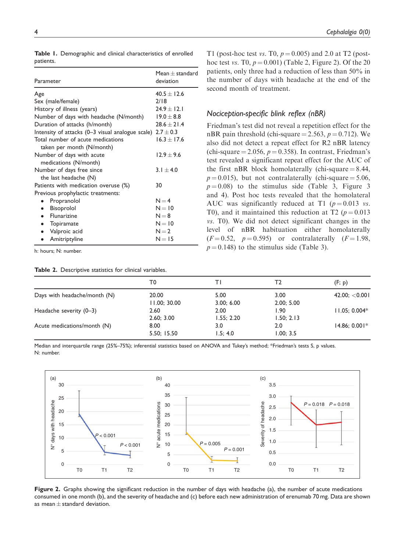| Parameter                                                      | $Mean + standard$<br>deviation |  |
|----------------------------------------------------------------|--------------------------------|--|
| Age                                                            | $40.5 + 12.6$                  |  |
| Sex (male/female)                                              | 2/18                           |  |
| History of illness (years)                                     | $24.9 \pm 12.1$                |  |
| Number of days with headache (N/month)                         | $19.0 + 8.8$                   |  |
| Duration of attacks (h/month)                                  | $28.6 + 21.4$                  |  |
| Intensity of attacks (0–3 visual analogue scale) $2.7 \pm 0.3$ |                                |  |
| Total number of acute medications                              | $16.3 + 17.6$                  |  |
| taken per month (N/month)                                      |                                |  |
| Number of days with acute<br>medications (N/month)             | $12.9 + 9.6$                   |  |
| Number of days free since<br>the last headache $(N)$           | $3.1 + 4.0$                    |  |
| Patients with medication overuse (%)                           | 30                             |  |
| Previous prophylactic treatments:                              |                                |  |
| Propranolol                                                    | $N = 4$                        |  |
| Bisoprolol<br>$\bullet$                                        | $N = 10$                       |  |
| Flunarizine<br>$\bullet$                                       | $N = 8$                        |  |
| Topiramate<br>$\bullet$                                        | $N = 10$                       |  |
| Valproic acid<br>$\bullet$                                     | $N = 2$                        |  |
| Amitriptyline                                                  | $N = 15$                       |  |

Table 1. Demographic and clinical characteristics of enrolled patients.

h: hours; N: number.

Table 2. Descriptive statistics for clinical variables.

| T1 (post-hoc test vs. T0, $p = 0.005$ ) and 2.0 at T2 (post-  |
|---------------------------------------------------------------|
| hoc test vs. T0, $p = 0.001$ ) (Table 2, Figure 2). Of the 20 |
| patients, only three had a reduction of less than 50% in      |
| the number of days with headache at the end of the            |
| second month of treatment.                                    |

#### Nociception-specific blink reflex (nBR)

Friedman's test did not reveal a repetition effect for the nBR pain threshold (chi-square  $= 2.563$ ,  $p = 0.712$ ). We also did not detect a repeat effect for R2 nBR latency (chi-square  $= 2.056$ ,  $p = 0.358$ ). In contrast, Friedman's test revealed a significant repeat effect for the AUC of the first nBR block homolaterally (chi-square  $= 8.44$ ,  $p = 0.015$ ), but not contralaterally (chi-square = 5.06,  $p = 0.08$ ) to the stimulus side (Table 3, Figure 3 and 4). Post hoc tests revealed that the homolateral AUC was significantly reduced at T1 ( $p = 0.013$  vs. T0), and it maintained this reduction at T2 ( $p = 0.013$ ) vs. T0). We did not detect significant changes in the level of nBR habituation either homolaterally  $(F = 0.52, p = 0.595)$  or contralaterally  $(F = 1.98,$  $p = 0.148$ ) to the stimulus side (Table 3).

|                              | T0           |            | Т2         | (F; p)          |
|------------------------------|--------------|------------|------------|-----------------|
| Days with headache/month (N) | 20.00        | 5.00       | 3.00       | 42.00; < 0.001  |
|                              | 11.00; 30.00 | 3.00; 6.00 | 2.00; 5.00 |                 |
| Headache severity (0-3)      | 2.60         | 2.00       | 1.90       | $11.05; 0.004*$ |
|                              | 2.60; 3.00   | 1.55; 2.20 | 1.50; 2.13 |                 |
| Acute medications/month (N)  | 8.00         | 3.0        | 2.0        | $14.86; 0.001*$ |
|                              | 5.50; 15.50  | 1.5; 4.0   | 1.00; 3.5  |                 |
|                              |              |            |            |                 |

Median and interquartile range (25%–75%); inferential statistics based on ANOVA and Tukey's method; \*Friedman's tests S, p values. N: number.



Figure 2. Graphs showing the significant reduction in the number of days with headache (a), the number of acute medications consumed in one month (b), and the severity of headache and (c) before each new administration of erenumab 70 mg. Data are shown as mean  $\pm$  standard deviation.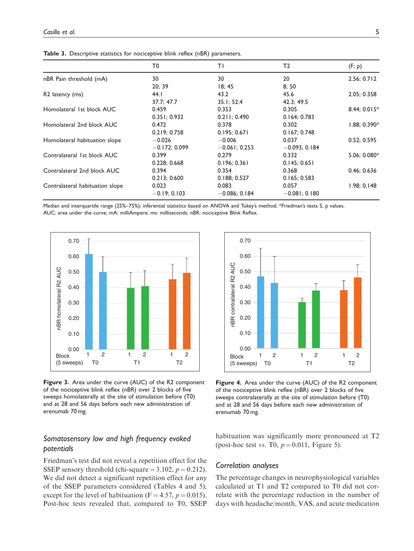|                                 | T0             | ΤI               | T2              | (F; p)         |
|---------------------------------|----------------|------------------|-----------------|----------------|
| nBR Pain threshold (mA)         | 30             | 30               | 20              | 2.56; 0.712    |
|                                 | 20; 39         | 18; 45           | 8;50            |                |
| R <sub>2</sub> latency (ms)     | 44. I          | 43.2             | 45.6            | 2.05; 0.358    |
|                                 | 37.7; 47.7     | 35.1; 52.4       | 42.3; 49.5      |                |
| Homolateral 1st block AUC       | 0.459          | 0.353            | 0.305           | 8.44; 0.015*   |
|                                 | 0.351; 0.932   | 0.211; 0.490     | 0.164; 0.783    |                |
| Homolateral 2nd block AUC       | 0.472          | 0.378            | 0.302           | $1.88; 0.390*$ |
|                                 | 0.219:0.758    | 0.195; 0.671     | 0.167; 0.748    |                |
| Homolateral habituation slope   | $-0.026$       | $-0.006$         | 0.037           | 0.52; 0.595    |
|                                 | $-0.172:0.099$ | $-0.06$ I: 0.253 | $-0.093; 0.184$ |                |
| Contralateral 1st block AUC     | 0.399          | 0.279            | 0.332           | 5.06; 0.080*   |
|                                 | 0.228; 0.668   | 0.196; 0.361     | 0.145; 0.651    |                |
| Contralateral 2nd block AUC     | 0.394          | 0.354            | 0.368           | 0.46; 0.636    |
|                                 | 0.213; 0.600   | 0.188; 0.527     | 0.165; 0.583    |                |
| Contralateral habituation slope | 0.023          | 0.083            | 0.057           | 1.98; 0.148    |
|                                 | $-0.19; 0.103$ | $-0.086; 0.184$  | $-0.081; 0.180$ |                |

Table 3. Descriptive statistics for nociceptive blink reflex (nBR) parameters.

Median and interquartile range (25%–75%); inferential statistics based on ANOVA and Tukey's method; \*Friedman's tests S, p values. AUC: area under the curve; mA: milliAmpere; ms: milliseconds; nBR: nociceptive Blink Reflex.



Figure 3. Area under the curve (AUC) of the R2 component of the nociceptive blink reflex (nBR) over 2 blocks of five sweeps homolaterally at the site of stimulation before (T0) and at 28 and 56 days before each new administration of erenumab 70 mg.

# Somatosensory low and high frequency evoked potentials

Friedman's test did not reveal a repetition effect for the SSEP sensory threshold (chi-square  $= 3.102$ ,  $p = 0.212$ ). We did not detect a significant repetition effect for any of the SSEP parameters considered (Tables 4 and 5), except for the level of habituation ( $F = 4.57$ ,  $p = 0.015$ ). Post-hoc tests revealed that, compared to T0, SSEP



Figure 4. Area under the curve (AUC) of the R2 component of the nociceptive blink reflex (nBR) over 2 blocks of five sweeps contralaterally at the site of stimulation before (T0) and at 28 and 56 days before each new administration of erenumab 70 mg.

habituation was significantly more pronounced at T2 (post-hoc test vs. T0,  $p = 0.011$ , Figure 5).

## Correlation analyses

The percentage changes in neurophysiological variables calculated at T1 and T2 compared to T0 did not correlate with the percentage reduction in the number of days with headache/month, VAS, and acute medication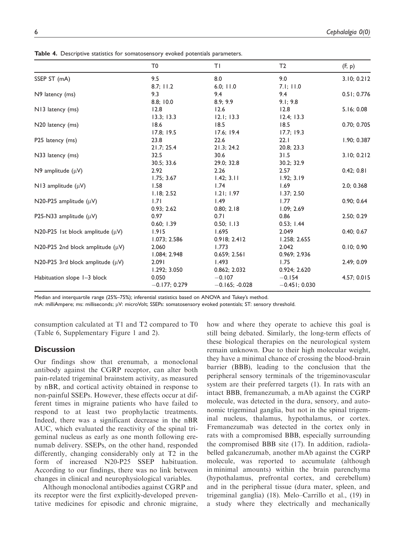Table 4. Descriptive statistics for somatosensory evoked potentials parameters.

|                                       | T <sub>0</sub>  | ΤI               | T <sub>2</sub>  | (F, p)      |
|---------------------------------------|-----------------|------------------|-----------------|-------------|
| SSEP ST (mA)                          | 9.5             | 8.0              | 9.0             | 3.10; 0.212 |
|                                       | 8.7; 11.2       | 6.0; 11.0        | 7.1; 11.0       |             |
| N9 latency (ms)                       | 9.3             | 9.4              | 9.4             | 0.51; 0.776 |
|                                       | 8.8; 10.0       | 8.9; 9.9         | 9.1; 9.8        |             |
| N13 latency (ms)                      | 12.8            | 12.6             | 12.8            | 5.16; 0.08  |
|                                       | 13.3; 13.3      | 12.1; 13.3       | 12.4; 13.3      |             |
| N20 latency (ms)                      | 18.6            | 18.5             | 18.5            | 0.70; 0.705 |
|                                       | 17.8; 19.5      | 17.6; 19.4       | 17.7; 19.3      |             |
| P25 latency (ms)                      | 23.8            | 22.6             | 22.1            | 1.90; 0.387 |
|                                       | 21.7; 25.4      | 21.3; 24.2       | 20.8; 23.3      |             |
| N33 latency (ms)                      | 32.5            | 30.6             | 31.5            | 3.10; 0.212 |
|                                       | 30.5; 33.6      | 29.0; 32.8       | 30.2; 32.9      |             |
| N9 amplitude $(\mu V)$                | 2.92            | 2.26             | 2.57            | 0.42; 0.81  |
|                                       | 1.75; 3.67      | 1.42; 3.11       | 1.92; 3.19      |             |
| N13 amplitude $(\mu V)$               | 1.58            | 1.74             | 1.69            | 2.0; 0.368  |
|                                       | 1.18; 2.52      | 1.21; 1.97       | 1.37; 2.50      |             |
| N20-P25 amplitude $(\mu V)$           | 1.71            | 1.49             | 1.77            | 0.90; 0.64  |
|                                       | 0.93; 2.62      | 0.80; 2.18       | 1.09; 2.69      |             |
| P25-N33 amplitude $(\mu V)$           | 0.97            | 0.71             | 0.86            | 2.50; 0.29  |
|                                       | 0.60; 1.39      | 0.50; 1.13       | 0.53; 1.44      |             |
| N20-P25 1st block amplitude $(\mu V)$ | 1.915           | 1.695            | 2.049           | 0.40; 0.67  |
|                                       | 1.073; 2.586    | 0.918; 2.412     | 1.258; 2.655    |             |
| N20-P25 2nd block amplitude $(\mu V)$ | 2.060           | 1.773            | 2.042           | 0.10; 0.90  |
|                                       | 1.084; 2.948    | 0.659; 2.561     | 0.969; 2.936    |             |
| N20-P25 3rd block amplitude $(\mu V)$ | 2.091           | 1.493            | 1.75            | 2.49; 0.09  |
|                                       | 1.292; 3.050    | 0.862; 2.032     | 0.924; 2.620    |             |
| Habituation slope 1-3 block           | 0.050           | $-0.107$         | $-0.154$        | 4.57; 0.015 |
|                                       | $-0.177; 0.279$ | $-0.165; -0.028$ | $-0.451; 0.030$ |             |

Median and interquartile range (25%–75%); inferential statistics based on ANOVA and Tukey's method.

mA: milliAmpere; ms: milliseconds; µV: microVolt; SSEPs: somatosensory evoked potentials; ST: sensory threshold.

consumption calculated at T1 and T2 compared to T0 (Table 6, Supplementary Figure 1 and 2).

## **Discussion**

Our findings show that erenumab, a monoclonal antibody against the CGRP receptor, can alter both pain-related trigeminal brainstem activity, as measured by nBR, and cortical activity obtained in response to non-painful SSEPs. However, these effects occur at different times in migraine patients who have failed to respond to at least two prophylactic treatments. Indeed, there was a significant decrease in the nBR AUC, which evaluated the reactivity of the spinal trigeminal nucleus as early as one month following erenumab delivery. SSEPs, on the other hand, responded differently, changing considerably only at T2 in the form of increased N20-P25 SSEP habituation. According to our findings, there was no link between changes in clinical and neurophysiological variables.

Although monoclonal antibodies against CGRP and its receptor were the first explicitly-developed preventative medicines for episodic and chronic migraine, how and where they operate to achieve this goal is still being debated. Similarly, the long-term effects of these biological therapies on the neurological system remain unknown. Due to their high molecular weight, they have a minimal chance of crossing the blood-brain barrier (BBB), leading to the conclusion that the peripheral sensory terminals of the trigeminovascular system are their preferred targets (1). In rats with an intact BBB, fremanezumab, a mAb against the CGRP molecule, was detected in the dura, sensory, and autonomic trigeminal ganglia, but not in the spinal trigeminal nucleus, thalamus, hypothalamus, or cortex. Fremanezumab was detected in the cortex only in rats with a compromised BBB, especially surrounding the compromised BBB site (17). In addition, radiolabelled galcanezumab, another mAb against the CGRP molecule, was reported to accumulate (although in minimal amounts) within the brain parenchyma (hypothalamus, prefrontal cortex, and cerebellum) and in the peripheral tissue (dura mater, spleen, and trigeminal ganglia) (18). Melo–Carrillo et al., (19) in a study where they electrically and mechanically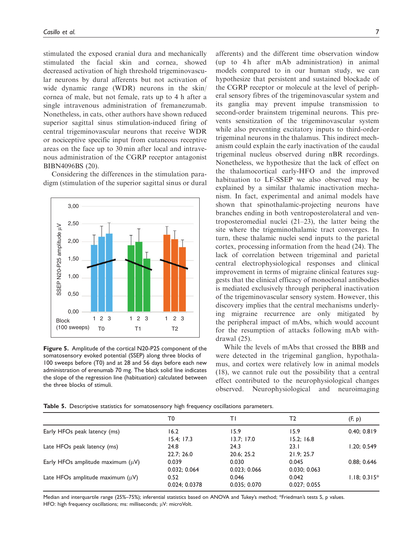stimulated the exposed cranial dura and mechanically stimulated the facial skin and cornea, showed decreased activation of high threshold trigeminovascular neurons by dural afferents but not activation of wide dynamic range (WDR) neurons in the skin/ cornea of male, but not female, rats up to 4 h after a single intravenous administration of fremanezumab. Nonetheless, in cats, other authors have shown reduced superior sagittal sinus stimulation-induced firing of central trigeminovascular neurons that receive WDR or nociceptive specific input from cutaneous receptive areas on the face up to 30 min after local and intravenous administration of the CGRP receptor antagonist BIBN4096BS (20).

Considering the differences in the stimulation paradigm (stimulation of the superior sagittal sinus or dural



Figure 5. Amplitude of the cortical N20-P25 component of the somatosensory evoked potential (SSEP) along three blocks of 100 sweeps before (T0) and at 28 and 56 days before each new administration of erenumab 70 mg. The black solid line indicates the slope of the regression line (habituation) calculated between the three blocks of stimuli.

afferents) and the different time observation window (up to 4h after mAb administration) in animal models compared to in our human study, we can hypothesize that persistent and sustained blockade of the CGRP receptor or molecule at the level of peripheral sensory fibres of the trigeminovascular system and its ganglia may prevent impulse transmission to second-order brainstem trigeminal neurons. This prevents sensitization of the trigeminovascular system while also preventing excitatory inputs to third-order trigeminal neurons in the thalamus. This indirect mechanism could explain the early inactivation of the caudal trigeminal nucleus observed during nBR recordings. Nonetheless, we hypothesize that the lack of effect on the thalamocortical early-HFO and the improved habituation to LF-SSEP we also observed may be explained by a similar thalamic inactivation mechanism. In fact, experimental and animal models have shown that spinothalamic-projecting neurons have branches ending in both ventroposterolateral and ventroposteromedial nuclei (21–23), the latter being the site where the trigeminothalamic tract converges. In turn, these thalamic nuclei send inputs to the parietal cortex, processing information from the head (24). The lack of correlation between trigeminal and parietal central electrophysiological responses and clinical improvement in terms of migraine clinical features suggests that the clinical efficacy of monoclonal antibodies is mediated exclusively through peripheral inactivation of the trigeminovascular sensory system. However, this discovery implies that the central mechanisms underlying migraine recurrence are only mitigated by the peripheral impact of mAbs, which would account for the resumption of attacks following mAb withdrawal (25).

While the levels of mAbs that crossed the BBB and were detected in the trigeminal ganglion, hypothalamus, and cortex were relatively low in animal models (18), we cannot rule out the possibility that a central effect contributed to the neurophysiological changes observed. Neurophysiological and neuroimaging

|                                        | T0            | ΤI           | Τ2           | (F, p)      |
|----------------------------------------|---------------|--------------|--------------|-------------|
| Early HFOs peak latency (ms)           | 16.2          | 15.9         | 15.9         | 0.40; 0.819 |
|                                        | 15.4; 17.3    | 13.7; 17.0   | 15.2; 16.8   |             |
| Late HFOs peak latency (ms)            | 24.8          | 24.3         | 23.1         | 1.20; 0.549 |
|                                        | 22.7; 26.0    | 20.6; 25.2   | 21.9; 25.7   |             |
| Early HFOs amplitude maximum $(\mu V)$ | 0.039         | 0.030        | 0.045        | 0.88; 0.646 |
|                                        | 0.032:0.064   | 0.023:0.066  | 0.030; 0.063 |             |
| Late HFOs amplitude maximum $(\mu V)$  | 0.52          | 0.046        | 0.042        | 1.18; 0.315 |
|                                        | 0.024: 0.0378 | 0.035; 0.070 | 0.027; 0.055 |             |
|                                        |               |              |              |             |

Table 5. Descriptive statistics for somatosensory high frequency oscillations parameters.

Median and interquartile range (25%–75%); inferential statistics based on ANOVA and Tukey's method; \*Friedman's tests S, p values. HFO: high frequency oscillations; ms: milliseconds;  $\mu$ V: microVolt.

 $5*$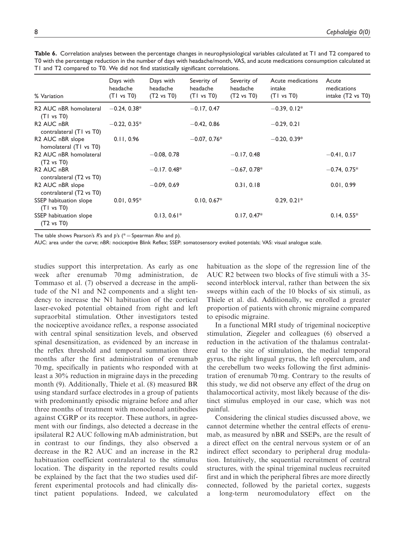| % Variation                                                                             | Days with<br>headache<br>(TI vs T0) | Days with<br>headache<br>$(T2 \text{ vs } T0)$ | Severity of<br>headache<br>(TI vs T0) | Severity of<br>headache<br>$(T2 \text{ vs } T0)$ | Acute medications<br>intake<br>(TI vs T0) | Acute<br>medications<br>intake (T2 vs T0) |
|-----------------------------------------------------------------------------------------|-------------------------------------|------------------------------------------------|---------------------------------------|--------------------------------------------------|-------------------------------------------|-------------------------------------------|
| R <sub>2</sub> AUC nBR homolateral<br>(T1 vs T0)                                        | $-0.24, 0.38*$                      |                                                | $-0.17, 0.47$                         |                                                  | $-0.39, 0.12*$                            |                                           |
| R <sub>2</sub> AUC n <sub>BR</sub><br>contralateral (T1 vs T0)                          | $-0.22, 0.35*$                      |                                                | $-0.42, 0.86$                         |                                                  | $-0.29, 0.21$                             |                                           |
| R2 AUC nBR slope<br>homolateral (T1 vs T0)                                              | 0.11, 0.96                          |                                                | $-0.07, 0.76*$                        |                                                  | $-0.20, 0.39*$                            |                                           |
| R2 AUC nBR homolateral<br>$(T2 \text{ vs } T0)$                                         |                                     | $-0.08, 0.78$                                  |                                       | $-0.17, 0.48$                                    |                                           | $-0.41, 0.17$                             |
| R <sub>2</sub> AUC n <sub>BR</sub><br>contralateral (T <sub>2</sub> vs T <sub>0</sub> ) |                                     | $-0.17.0.48*$                                  |                                       | $-0.67, 0.78*$                                   |                                           | $-0.74, 0.75*$                            |
| R <sub>2</sub> AUC nBR slope<br>contralateral (T2 vs T0)                                |                                     | $-0.09, 0.69$                                  |                                       | 0.31, 0.18                                       |                                           | 0.01, 0.99                                |
| SSEP habituation slope<br>(T1 vs T0)                                                    | $0.01, 0.95*$                       |                                                | $0.10, 0.67*$                         |                                                  | $0.29, 0.21*$                             |                                           |
| SSEP habituation slope<br>$(T2 \text{ vs } T0)$                                         |                                     | $0.13, 0.61*$                                  |                                       | $0.17, 0.47*$                                    |                                           | $0.14, 0.55*$                             |
|                                                                                         |                                     |                                                |                                       |                                                  |                                           |                                           |

Table 6. Correlation analyses between the percentage changes in neurophysiological variables calculated at T1 and T2 compared to T0 with the percentage reduction in the number of days with headache/month, VAS, and acute medications consumption calculated at T1 and T2 compared to T0. We did not find statistically significant correlations.

The table shows Pearson's R's and p's (\* = Spearman Rho and p).

AUC: area under the curve; nBR: nociceptive Blink Reflex; SSEP: somatosensory evoked potentials; VAS: visual analogue scale.

studies support this interpretation. As early as one week after erenumab 70 mg administration, de Tommaso et al. (7) observed a decrease in the amplitude of the N1 and N2 components and a slight tendency to increase the N1 habituation of the cortical laser-evoked potential obtained from right and left supraorbital stimulation. Other investigators tested the nociceptive avoidance reflex, a response associated with central spinal sensitization levels, and observed spinal desensitization, as evidenced by an increase in the reflex threshold and temporal summation three months after the first administration of erenumab 70 mg, specifically in patients who responded with at least a 30% reduction in migraine days in the preceding month (9). Additionally, Thiele et al. (8) measured BR using standard surface electrodes in a group of patients with predominantly episodic migraine before and after three months of treatment with monoclonal antibodies against CGRP or its receptor. These authors, in agreement with our findings, also detected a decrease in the ipsilateral R2 AUC following mAb administration, but in contrast to our findings, they also observed a decrease in the R2 AUC and an increase in the R2 habituation coefficient contralateral to the stimulus location. The disparity in the reported results could be explained by the fact that the two studies used different experimental protocols and had clinically distinct patient populations. Indeed, we calculated habituation as the slope of the regression line of the AUC R2 between two blocks of five stimuli with a 35 second interblock interval, rather than between the six sweeps within each of the 10 blocks of six stimuli, as Thiele et al. did. Additionally, we enrolled a greater proportion of patients with chronic migraine compared to episodic migraine.

In a functional MRI study of trigeminal nociceptive stimulation, Ziegeler and colleagues (6) observed a reduction in the activation of the thalamus contralateral to the site of stimulation, the medial temporal gyrus, the right lingual gyrus, the left operculum, and the cerebellum two weeks following the first administration of erenumab 70 mg. Contrary to the results of this study, we did not observe any effect of the drug on thalamocortical activity, most likely because of the distinct stimulus employed in our case, which was not painful.

Considering the clinical studies discussed above, we cannot determine whether the central effects of erenumab, as measured by nBR and SSEPs, are the result of a direct effect on the central nervous system or of an indirect effect secondary to peripheral drug modulation. Intuitively, the sequential recruitment of central structures, with the spinal trigeminal nucleus recruited first and in which the peripheral fibres are more directly connected, followed by the parietal cortex, suggests a long-term neuromodulatory effect on the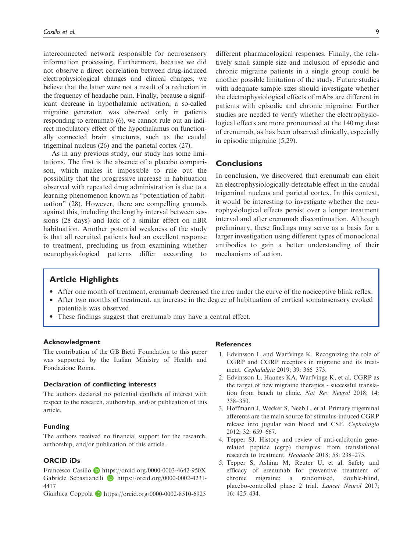interconnected network responsible for neurosensory information processing. Furthermore, because we did not observe a direct correlation between drug-induced electrophysiological changes and clinical changes, we believe that the latter were not a result of a reduction in the frequency of headache pain. Finally, because a significant decrease in hypothalamic activation, a so-called migraine generator, was observed only in patients responding to erenumab (6), we cannot rule out an indirect modulatory effect of the hypothalamus on functionally connected brain structures, such as the caudal trigeminal nucleus (26) and the parietal cortex (27).

As in any previous study, our study has some limitations. The first is the absence of a placebo comparison, which makes it impossible to rule out the possibility that the progressive increase in habituation observed with repeated drug administration is due to a learning phenomenon known as "potentiation of habituation" (28). However, there are compelling grounds against this, including the lengthy interval between sessions (28 days) and lack of a similar effect on nBR habituation. Another potential weakness of the study is that all recruited patients had an excellent response to treatment, precluding us from examining whether neurophysiological patterns differ according to different pharmacological responses. Finally, the relatively small sample size and inclusion of episodic and chronic migraine patients in a single group could be another possible limitation of the study. Future studies with adequate sample sizes should investigate whether the electrophysiological effects of mAbs are different in patients with episodic and chronic migraine. Further studies are needed to verify whether the electrophysiological effects are more pronounced at the 140 mg dose of erenumab, as has been observed clinically, especially in episodic migraine (5,29).

## **Conclusions**

In conclusion, we discovered that erenumab can elicit an electrophysiologically-detectable effect in the caudal trigeminal nucleus and parietal cortex. In this context, it would be interesting to investigate whether the neurophysiological effects persist over a longer treatment interval and after erenumab discontinuation. Although preliminary, these findings may serve as a basis for a larger investigation using different types of monoclonal antibodies to gain a better understanding of their mechanisms of action.

## Article Highlights

- After one month of treatment, erenumab decreased the area under the curve of the nociceptive blink reflex.
- After two months of treatment, an increase in the degree of habituation of cortical somatosensory evoked potentials was observed.
- These findings suggest that erenumab may have a central effect.

#### Acknowledgment

The contribution of the GB Bietti Foundation to this paper was supported by the Italian Ministry of Health and Fondazione Roma.

#### Declaration of conflicting interests

The authors declared no potential conflicts of interest with respect to the research, authorship, and/or publication of this article.

#### Funding

The authors received no financial support for the research, authorship, and/or publication of this article.

## ORCID iDs

Francesco Casillo <https://orcid.org/0000-0003-4642-950X> Gabriele Sebastianelli **D** [https://orcid.org/0000-0002-4231-](https://orcid.org/0000-0002-4231-4417) [4417](https://orcid.org/0000-0002-4231-4417)

Gianluca Coppola **D** <https://orcid.org/0000-0002-8510-6925>

## **References**

- 1. Edvinsson L and Warfvinge K. Recognizing the role of CGRP and CGRP receptors in migraine and its treatment. Cephalalgia 2019; 39: 366–373.
- 2. Edvinsson L, Haanes KA, Warfvinge K, et al. CGRP as the target of new migraine therapies - successful translation from bench to clinic. Nat Rev Neurol 2018; 14: 338–350.
- 3. Hoffmann J, Wecker S, Neeb L, et al. Primary trigeminal afferents are the main source for stimulus-induced CGRP release into jugular vein blood and CSF. Cephalalgia 2012; 32: 659–667.
- 4. Tepper SJ. History and review of anti-calcitonin generelated peptide (cgrp) therapies: from translational research to treatment. Headache 2018; 58: 238–275.
- 5. Tepper S, Ashina M, Reuter U, et al. Safety and efficacy of erenumab for preventive treatment of chronic migraine: a randomised, double-blind, placebo-controlled phase 2 trial. Lancet Neurol 2017; 16: 425–434.